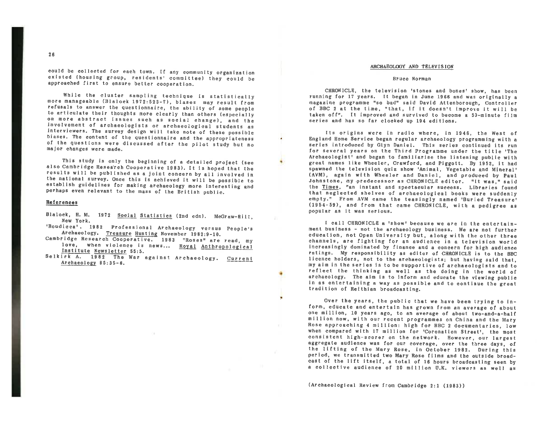could be collected for each town. If any community organization existed (housing group, residents' committee) they could be approached first to ensure better cooperation.

While the cluster sampling technique is statistically<br>more manageable (Blalock 1972:523-7), biases may result from refusals to answer the questionnaire, the ability of some people to articulate their thoughts more clearly than others (especially on more abstract issues such as social change), and the<br>involvement of archaeologists or archaeological students as interviewers. The survey design will take note of these possible<br>biases. The content of the questionnaire and the appropriateness<br>of the questions were discussed after the pilot study but no<br>major changes were made.

This study is only the beginning of a detailed project (see also Cambridge Research Cooperative 1983). It is hoped that the results will be published as a joint concern by all involved in the national survey. Once this is achieved it will be possible to establish guidelines for making archaeology more interesting and perhaps even relevant to the mass of the British public.

### References

- Blalock, H. M. 1972 Social Statistics (2nd edn). McGraw-Hill, New York.
- 'Boudicca'. 1982 Professional Archaeology versus People's Archaeology. Treasure Hunting November 1982:9-10.
- Archaeology. Treasure Hunting November 1982:9-10.<br>Cambridge Research Cooperative. 1983 "Roses" are read, my<br>love, when violence is news... Royal Anthropological<br>Institute Newsletter 55:5.
- Se 1 k irk A. 1982 The War against Archaeology. Current Archaeology 85:35-6.

# ARCHAEOLOGY ANO TELEVISION

#### Bruce Norman

CHRONICLE, the television 'stones and bones' show, has been running for 17 years. It began in June 1966 and was originally a of BBC 2 at the time, "that, if it doesn't improve it will be taken off". It improved and survived to become a SO-minute film series and has so far clocked up 194 editions.

Its origins were in radio where, In 1946, the West of England Home Service began regular archaeology programming with <sup>a</sup>series introduced by Glyn Daniel. This series continued its run for several years on the Third Programme under the title 'The Archaeologist<sup>+</sup> and began to familiarise the listening public with great names like Wheeler, Crawford, and Piggott. By 1952, it had spawned the television quiz show 'Animal, Vegetable and Mineral' (AVM), again with Wheeler and Daniel, and produced by Paul Johnstone, my .predecessor as CHRONICLE editor. "lt was," said the Times, "an instant and spectacular success. Libraries found that neglected shelves of archaeological books were suddenly empty. " From AVM came the teasingly named 'Burled Treasure' (1954-59), and from that came CHRONICLE, with a pedigree as popular as it was serious.

I call CHRONICLE **a** 'show' because we are in the entertainment business - not the archaeology business. We are not further education, not Open University but, along with the other three channels, are fighting for an audience in a television world increasingly dominated by finance and <sup>a</sup>concern for high audience ratings. My responsibility as editor of CHRONICLE is to the BBC licence holders, not to the archaeologists; but having said that, my aim in the series is to be supportive of archaeologists and to reflect the thinking as well as the doing in the world of archaeology. The aim is to inform and educate the viewing public in as entertaining a way as possible and to continue the great<br>tradition of Reithian broadcasting.

Over the years, the public that we have been trying to inform, educate and entertain has grown from an average of about million now, with our recent programmes on China and the Mary Rose approaching 4 million: high for BBC 2 documentaries, low when compared with 17 million for 'Coronation Street', the most consistent high-scorer on the network. However, our largest the lifting of the Mary Rose, in October 1982. During this period, we transmitted two Mary Rose films and the outside broadcast of the lift itself, a total of 16 hours broadcasting seen by <sup>a</sup>collective audience of 20 million U.K. viewers as well as

(Archaeological Review from Cambridge 2:1 (1983))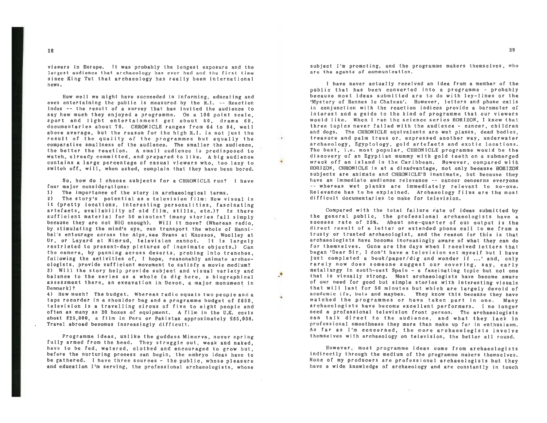viewers in Europe. It was probably the longest exposure and the largest audience that archaeology has ever had and the first time since King Tut that archaeology has really been international news.

How well we might have succeeded in informing, educating and even entertaining the public is measured by the R.I. -- Reaction Index -- the result of **a** survey that has invited the audience to say how much they enjoyed **a** programme. On a 100 point scale, sport and light entertainment get about 50, drama 60, documentaries about 70. CHRONICLE ranges from 64 to 84, well above average, but the reason for the high R.l. is not just the result of the quality of the programmes but equally the comparative smallness of the audience. The smaller the audience, the better the reaction. A small audience is predisposed to watch, already committed, and prepared to like. A big audience contains a large percentage of casual viewers who, too lazy to switch off, will, when asked, complain that they have been bored.

œ.

So, how do I choose subjects for a CHRONICLE run? I have four major considerations:

1) The importance of the story in archaeological terms.

2) The story's potential as a television film: How visual is it (pretty 1ocations, interesting personalities, fascinating artefacts, availability of old film, stills, etc.)? Is there sufficient material for 50 minutes? (many stories fell simply because they are not BIG enough). Will it move? (Whereas radio, by stimulating the mind's eye, can transport the whole of Hannibal's entourage across the Alps, see Evens at Knossos, Woolley at Ur, or Leyard at Nimrud, television cannot. It is largely restricted to present-day pictures of inanimate objects.) Can the camera, by panning across deserts, probing into trenches, following the activities of, I hope, reasonably animate archaeologists, provide sufficient movement to satisfy a movie medium? 3) Will the story help provide subject and visual variety and balance to the series as a whole Ca dig here, a biographical assessment there, an excavation in Devon, a major monument in Denmark)?

4) How much? The budget. Whereas radio equals two people and a tape recorder in a shoulder bag and a programme budget of £600, television is a travelling circus of five to eight people and often as many as 30 boxes of equipment, A film in the U.K. costs about £25,000, a film in Peru or Pakistan approximately £65,000. Travel abroad becomes increasingly difficult.

Programme ideas, unlike the goddess Minerva, never spring fully armed from the head. They struggle out, weak and naked, have to be fed, watered, clothed and encouraged to grow but, before the nurturing process can begin, the embryo ideas have to be gathered. I have three sources - the public, whose pleasure **and education** I'm **serving,** the professional archaeologists, whose subject I'm promoting, and the programme makers themselves, who are the agents of communication.

l have never actually received an idea from a member of the public that has been converted into a programme - probably because most ideas submitted are to do with ley-lines or the 'Mystery of Rennes le Chateau•. However, letters and phone calls in conjunction with the reaction indices provide a barometer of interest and a guide to the kind of programme that our viewers would I ike . When I ran the science series HORIZON, I knew that three topics never failed with the audience - cancer, children and dogs. The CHRONICLE equivalents are wet planks, dead bodies, treasure and palm trees or, expressed another way, underwater archaeology, Egyptology, gold artefacts and exotic locations. The best, i.e. most popular, CHRONICLE programme would be the discovery of an Egyptian mummy with gold teeth on a submerged wreck off an island in the Caribbean. However, compared with HORIZON, CHRONICLE is at a disadvantage, not only because HORIZON subjects are animate and CHRONICLE'S inanimate, but because they have an immediate audience relevance -- cancer concerns everyone -- whereas wet planks are immediately relevant to no-one. Relevance has to be explained. Archaeology films are the most difficult documentaries to make for television.

Compared with the total failure rate of ideas submitted by the general public, the professional archaeologists have a success rate of 25%. About one-quarter of our output is the direct result of a letter or extended phone call to me from a trusty or trusted archaeologist, and the reason for this is that archaeologists have become increasingly aware of what they can do for themselves. Gone are the days when I received letters that began 'Dear Sir, I don't have a television set myself but I have just completed a book/paper/dig and wonder if ...' and, only rarely now does someone suggest our covering, say, early metallurgy in south-east Spain - a fascinating topic but not one that is visually strong. Most archaeologists have become aware of our need for good but simple stories with interesting visuals that will last for 50 minutes but which are largely devoid of academic ifs, buts and maybes. They know this because they have watched the programmes or have taken part in one. Many archaeologists have become excellent performers. I no longer need a professional television front person. The archaeologists can talk direct to the audience, and what they lack in professional smoothness they more than make up for in enthusiasm. As far as I'm concerned, the more archaeologists involve themselves with archaeology on television, the better all round.

However, most programme ideas come from archaeologists indirectly through the medium of the programme makers themselves. None of my producers are professional archaeologists but they have a wide knowledge of archaeology and are constantly in touch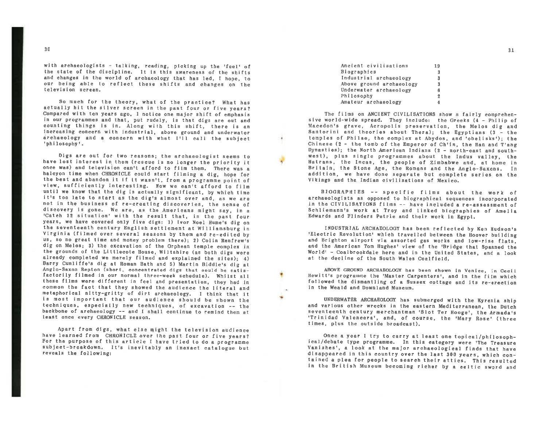with archaeologists  $\pm$  talking, reading, picking up the 'feel' of the state of the discipline. It is this awareness of the shifts and changes in the world of archaeology that has led, I hope, to our being able to reflect these shifts and changes on the television screen.

So much *tor* the theory, what *ot* the practice? What has actually hit the silver screen in the pest four or five years? Compared with ten years ago, I notice one major shift of emphasis counting things is in. Along with this shift, there is an increasing concern with industrial, above ground and underwater archaeology and a concern with what I'll call the subject 'philosophy'.

Digs are out for two reasons; the archaeologist seems to have lost interest in. them (rescue is no longer the priority it once was) and television can't afford to film them. There was a halcyon time when CHRONICLE could start filming a dig, hope for the best and abandon it if it wasn't, from <sup>a</sup>programme point of view, sufficiently interesting. Now we can't afford to film until we know that the dig is actually significant, by which time it's too late to start as the dig's almost over and, as we are not in the business of re-creating discoveries, the sense of discovery is gone. We are, as the Americans might say, in <sup>a</sup> 'Cateh 22 situation' with the result that, in the past four<br>years, we have covered only five digs: 1) Ivor Noel Hume's dig on the seventeenth century English settlement at Williamsburg in Virginia (filmed over several seasons by them and re-edited by us, so no great time and money problem there); 2) Colin Renfrew's dig on Melos; 3) the excavation of the Orphean temple complex in the grounds of the Littlecote House, Wiltshire (as both digs were already completed we merely filmed and explained the sites); 4) Barry Cunliffe's dig at Roman Bath and 5) Martin Biddle's dig at Anglo-Saxon Repton (short, concentrated digs that could be satisfactorily filmed in our normal three-week schedule). Whilst all these films were different in feel and presentation, they had in common the fact that they showed the audience the literal and metaphorical nitty-gritty of dirt archaeology. I think that it is most important that our audience should be shown the techniques, especially new techniques, of excavation -- the baekbone of archaeology -- and I shall continue to remind them at least once every CHRONICLE season.

Apart from digs, what else might the television audience have learned from CHRONICLE over the past four or five years?<br>For the purpose of this article I have tried to do a programme subject-breakdown. It's inevitably an inexact catalogue but reveals the following:

| Ancient civilisations    | 19 |
|--------------------------|----|
| Biographies              | 3  |
| Industrial archaeology   | 3  |
| Above ground archaeology | 3  |
| Underwater archaeology   | 6  |
| Philosophy               | 2  |
| Amateur archaeology      | 4  |

The films on ANCIENT CIVILISATIONS show a fairly comprehensive world-wide spread. They include: the Greeks (4 - Philip of Macedon's grave, Acropolis preservation, the Melos dig and Santorini and theories about Thera); the temples of Philae, the complex at Abydos, and 'obelisks'); the<br>Chinese (2 - the tomb of the Emperor of Ch'in, the Han and T'ang Dynasties); the North American Indians (2 - north-east and southwest), plus single programmes about the Indus valley, the Hatrans, the Incas, the people of Zimbabwe and, at home in Britain, the Stone Age, the Romans and the Anglo-Saxons. In addition, we have done separate but complete series on the Vikings and the Indian civilisations of Mexico.

BIOGRAPHIES -- specific films about the work of archaeologists as opposed to biographical sequences incorporated archaeologists as opposed to biographical sequences incorporated<br>in the CIVILISATIONS films -- have included a re-assessment of Schliemann•s work at Troy and linked biographies of Amelia Edwards and Flinders Petrie and their work in Egypt.

INDUSTRIAL ARCHAEOLOGY has been reflected by Ken Hudson•s 'Electric Revolution' which travelled between the Hoover building and Brighton airport via assorted gas works and low-rise flats and the American Tom Hughes' view of the 'Bridge that Spanned the World' - Coalbrookdale here and in the United States, and a look at the decline of the South Wales Coalfield.

ABOVE GROUND ARCHAEOLOGY has been shown in Venice, in Ceci <sup>I</sup> Hewitt's programme the 'Master Carpenters', and in the film which followed the dismantling of a Sussex cottage and its re-erection in the Weald and Downland Museum.

UNDERWATER ARCHAEOLOGY has submerged with the Kyrenia ship and various other wrecks in the eastern Mediterranean, the Dutch<br>seventeenth century merchantman 'Slot Ter Hooge', the Armada's 'Trinidad Valencera', and, of course, the 'Mary Rose' (three times, plus the outside broadcast).

·~

Once <sup>a</sup>year I try to carry at least one topical/philosoph- ical/debate type programme. In this category were 'The Treasure Vanishes', a look at the major archaeologleal finds that have disappeared in this country over the last 300 years, which contained <sup>a</sup>plea for people to search their attics. This resulted in the British Museum becoming richer by a celtic sword and